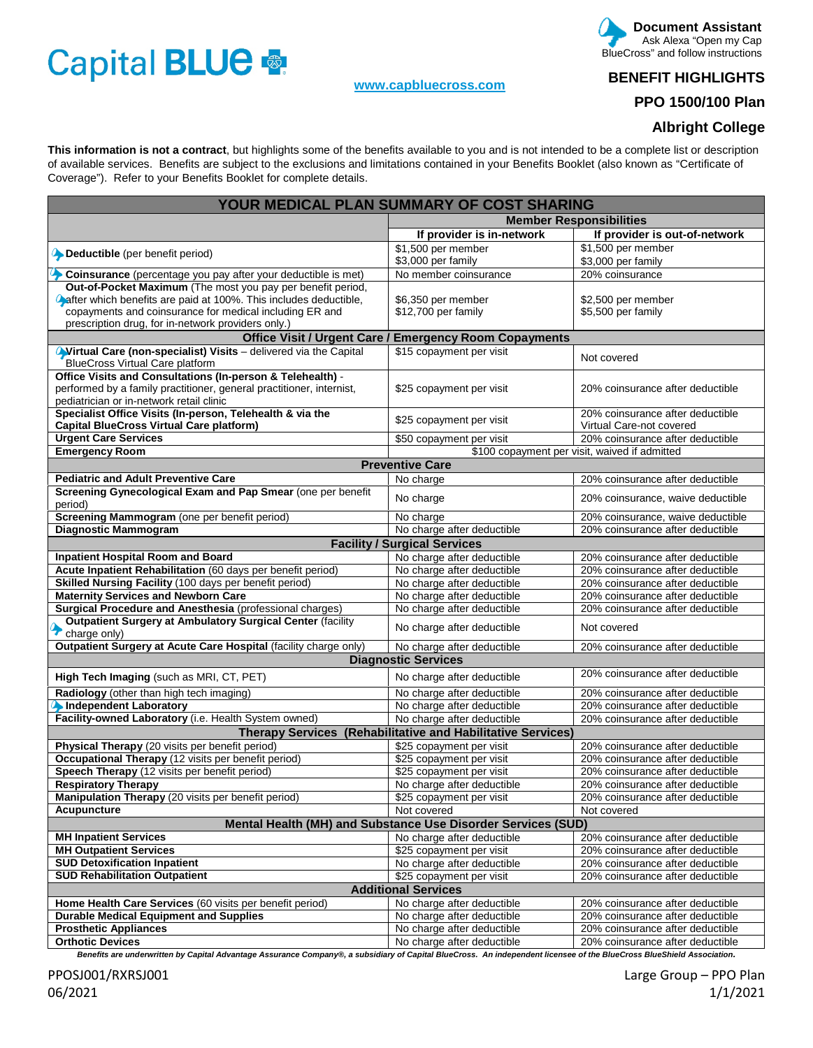# Capital BLUE

### **[www.capbluecross.com](http://www.capbluecross.com/)**

#### **Document Assistant**  Ask Alexa "Open my Cap BlueCross" and follow instructions

**BENEFIT HIGHLIGHTS** 

# **PPO 1500/100 Plan**

## **Albright College**

**This information is not a contract**, but highlights some of the benefits available to you and is not intended to be a complete list or description of available services. Benefits are subject to the exclusions and limitations contained in your Benefits Booklet (also known as "Certificate of Coverage"). Refer to your Benefits Booklet for complete details.

| YOUR MEDICAL PLAN SUMMARY OF COST SHARING                                                                  |                                                               |                                               |  |  |  |  |
|------------------------------------------------------------------------------------------------------------|---------------------------------------------------------------|-----------------------------------------------|--|--|--|--|
|                                                                                                            | <b>Member Responsibilities</b>                                |                                               |  |  |  |  |
|                                                                                                            | If provider is in-network                                     | If provider is out-of-network                 |  |  |  |  |
| Deductible (per benefit period)                                                                            | \$1,500 per member                                            | \$1,500 per member                            |  |  |  |  |
|                                                                                                            | \$3,000 per family                                            | \$3,000 per family                            |  |  |  |  |
| Coinsurance (percentage you pay after your deductible is met)                                              | No member coinsurance                                         | 20% coinsurance                               |  |  |  |  |
| Out-of-Pocket Maximum (The most you pay per benefit period,                                                |                                                               |                                               |  |  |  |  |
| <b>A</b> after which benefits are paid at 100%. This includes deductible,                                  | \$6,350 per member                                            | \$2,500 per member                            |  |  |  |  |
| copayments and coinsurance for medical including ER and                                                    | \$12,700 per family                                           | \$5,500 per family                            |  |  |  |  |
| prescription drug, for in-network providers only.)                                                         |                                                               |                                               |  |  |  |  |
|                                                                                                            | <b>Office Visit / Urgent Care / Emergency Room Copayments</b> |                                               |  |  |  |  |
| Wirtual Care (non-specialist) Visits - delivered via the Capital<br><b>BlueCross Virtual Care platform</b> | \$15 copayment per visit                                      | Not covered                                   |  |  |  |  |
| Office Visits and Consultations (In-person & Telehealth) -                                                 |                                                               |                                               |  |  |  |  |
| performed by a family practitioner, general practitioner, internist,                                       | \$25 copayment per visit                                      | 20% coinsurance after deductible              |  |  |  |  |
| pediatrician or in-network retail clinic                                                                   |                                                               |                                               |  |  |  |  |
| Specialist Office Visits (In-person, Telehealth & via the                                                  |                                                               | 20% coinsurance after deductible              |  |  |  |  |
| Capital BlueCross Virtual Care platform)                                                                   | \$25 copayment per visit                                      | Virtual Care-not covered                      |  |  |  |  |
| <b>Urgent Care Services</b>                                                                                | \$50 copayment per visit                                      | 20% coinsurance after deductible              |  |  |  |  |
| <b>Emergency Room</b>                                                                                      |                                                               | \$100 copayment per visit, waived if admitted |  |  |  |  |
|                                                                                                            | <b>Preventive Care</b>                                        |                                               |  |  |  |  |
| <b>Pediatric and Adult Preventive Care</b>                                                                 | No charge                                                     | 20% coinsurance after deductible              |  |  |  |  |
| Screening Gynecological Exam and Pap Smear (one per benefit<br>period)                                     | No charge                                                     | 20% coinsurance, waive deductible             |  |  |  |  |
| Screening Mammogram (one per benefit period)                                                               | No charge                                                     | 20% coinsurance, waive deductible             |  |  |  |  |
| <b>Diagnostic Mammogram</b>                                                                                | No charge after deductible                                    | 20% coinsurance after deductible              |  |  |  |  |
|                                                                                                            | <b>Facility / Surgical Services</b>                           |                                               |  |  |  |  |
| <b>Inpatient Hospital Room and Board</b>                                                                   | No charge after deductible                                    | 20% coinsurance after deductible              |  |  |  |  |
| Acute Inpatient Rehabilitation (60 days per benefit period)                                                | No charge after deductible                                    | 20% coinsurance after deductible              |  |  |  |  |
| Skilled Nursing Facility (100 days per benefit period)                                                     | No charge after deductible                                    | 20% coinsurance after deductible              |  |  |  |  |
| <b>Maternity Services and Newborn Care</b>                                                                 | No charge after deductible                                    | 20% coinsurance after deductible              |  |  |  |  |
| Surgical Procedure and Anesthesia (professional charges)                                                   | No charge after deductible                                    | 20% coinsurance after deductible              |  |  |  |  |
| Outpatient Surgery at Ambulatory Surgical Center (facility<br>charge only)                                 | No charge after deductible                                    | Not covered                                   |  |  |  |  |
| Outpatient Surgery at Acute Care Hospital (facility charge only)                                           | No charge after deductible                                    | 20% coinsurance after deductible              |  |  |  |  |
| <b>Diagnostic Services</b>                                                                                 |                                                               |                                               |  |  |  |  |
| High Tech Imaging (such as MRI, CT, PET)                                                                   | No charge after deductible                                    | 20% coinsurance after deductible              |  |  |  |  |
| Radiology (other than high tech imaging)                                                                   | No charge after deductible                                    | 20% coinsurance after deductible              |  |  |  |  |
| Independent Laboratory                                                                                     | No charge after deductible                                    | 20% coinsurance after deductible              |  |  |  |  |
| Facility-owned Laboratory (i.e. Health System owned)                                                       | No charge after deductible                                    | 20% coinsurance after deductible              |  |  |  |  |
| Therapy Services (Rehabilitative and Habilitative Services)                                                |                                                               |                                               |  |  |  |  |
| Physical Therapy (20 visits per benefit period)                                                            | \$25 copayment per visit                                      | 20% coinsurance after deductible              |  |  |  |  |
| Occupational Therapy (12 visits per benefit period)                                                        | \$25 copayment per visit                                      | 20% coinsurance after deductible              |  |  |  |  |
| Speech Therapy (12 visits per benefit period)                                                              | \$25 copayment per visit                                      | 20% coinsurance after deductible              |  |  |  |  |
| <b>Respiratory Therapy</b>                                                                                 | No charge after deductible                                    | 20% coinsurance after deductible              |  |  |  |  |
| Manipulation Therapy (20 visits per benefit period)                                                        | \$25 copayment per visit                                      | 20% coinsurance after deductible              |  |  |  |  |
| Acupuncture                                                                                                | Not covered                                                   | Not covered                                   |  |  |  |  |
| Mental Health (MH) and Substance Use Disorder Services (SUD)                                               |                                                               |                                               |  |  |  |  |
| <b>MH Inpatient Services</b>                                                                               | No charge after deductible                                    | 20% coinsurance after deductible              |  |  |  |  |
| <b>MH Outpatient Services</b>                                                                              | \$25 copayment per visit                                      | 20% coinsurance after deductible              |  |  |  |  |
| <b>SUD Detoxification Inpatient</b>                                                                        | No charge after deductible                                    | 20% coinsurance after deductible              |  |  |  |  |
| <b>SUD Rehabilitation Outpatient</b>                                                                       | \$25 copayment per visit                                      | 20% coinsurance after deductible              |  |  |  |  |
| <b>Additional Services</b>                                                                                 |                                                               |                                               |  |  |  |  |
| Home Health Care Services (60 visits per benefit period)                                                   | No charge after deductible                                    | 20% coinsurance after deductible              |  |  |  |  |
| <b>Durable Medical Equipment and Supplies</b>                                                              | No charge after deductible                                    | 20% coinsurance after deductible              |  |  |  |  |
| <b>Prosthetic Appliances</b>                                                                               | No charge after deductible                                    | 20% coinsurance after deductible              |  |  |  |  |
| <b>Orthotic Devices</b>                                                                                    | No charge after deductible                                    | 20% coinsurance after deductible              |  |  |  |  |

*Benefits are underwritten by Capital Advantage Assurance Company®, a subsidiary of Capital BlueCross. An independent licensee of the BlueCross BlueShield Association.*